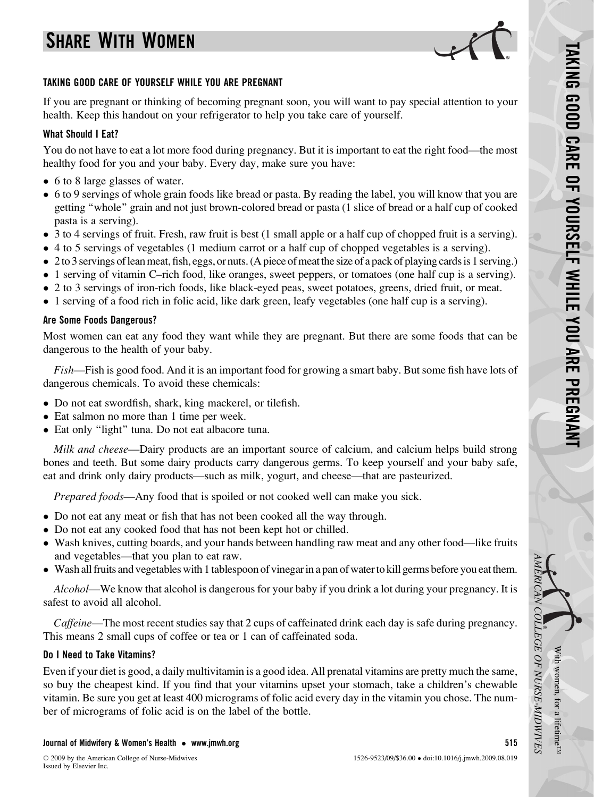# SHARE WITH WOMEN



## TAKING GOOD CARE OF YOURSELF WHILE YOU ARE PREGNANT

If you are pregnant or thinking of becoming pregnant soon, you will want to pay special attention to your health. Keep this handout on your refrigerator to help you take care of yourself.

# What Should I Eat?

You do not have to eat a lot more food during pregnancy. But it is important to eat the right food—the most healthy food for you and your baby. Every day, make sure you have:

- 6 to 8 large glasses of water.
- 6 to 9 servings of whole grain foods like bread or pasta. By reading the label, you will know that you are getting ''whole'' grain and not just brown-colored bread or pasta (1 slice of bread or a half cup of cooked pasta is a serving).
- 3 to 4 servings of fruit. Fresh, raw fruit is best (1 small apple or a half cup of chopped fruit is a serving).
- 4 to 5 servings of vegetables (1 medium carrot or a half cup of chopped vegetables is a serving).
- 2 to 3 servings of lean meat, fish, eggs, or nuts. (A piece of meat the size of a pack of playing cards is 1 serving.)
- 1 serving of vitamin C–rich food, like oranges, sweet peppers, or tomatoes (one half cup is a serving).
- 2 to 3 servings of iron-rich foods, like black-eyed peas, sweet potatoes, greens, dried fruit, or meat.
- 1 serving of a food rich in folic acid, like dark green, leafy vegetables (one half cup is a serving).

# Are Some Foods Dangerous?

Most women can eat any food they want while they are pregnant. But there are some foods that can be dangerous to the health of your baby.

Fish—Fish is good food. And it is an important food for growing a smart baby. But some fish have lots of dangerous chemicals. To avoid these chemicals:

- Do not eat swordfish, shark, king mackerel, or tilefish.
- Eat salmon no more than 1 time per week.
- Eat only "light" tuna. Do not eat albacore tuna.

Milk and cheese—Dairy products are an important source of calcium, and calcium helps build strong bones and teeth. But some dairy products carry dangerous germs. To keep yourself and your baby safe, eat and drink only dairy products—such as milk, yogurt, and cheese—that are pasteurized.

Prepared foods—Any food that is spoiled or not cooked well can make you sick.

- Do not eat any meat or fish that has not been cooked all the way through.
- Do not eat any cooked food that has not been kept hot or chilled.
- Wash knives, cutting boards, and your hands between handling raw meat and any other food—like fruits and vegetables—that you plan to eat raw.
- Wash all fruits and vegetables with 1 tablespoon of vinegar in a pan of water to kill germs before you eat them.

Alcohol—We know that alcohol is dangerous for your baby if you drink a lot during your pregnancy. It is safest to avoid all alcohol.

Caffeine—The most recent studies say that 2 cups of caffeinated drink each day is safe during pregnancy. This means 2 small cups of coffee or tea or 1 can of caffeinated soda.

# Do I Need to Take Vitamins?

Even if your diet is good, a daily multivitamin is a good idea. All prenatal vitamins are pretty much the same, so buy the cheapest kind. If you find that your vitamins upset your stomach, take a children's chewable vitamin. Be sure you get at least 400 micrograms of folic acid every day in the vitamin you chose. The number of micrograms of folic acid is on the label of the bottle.

## Journal of Midwifery & Women's Health - [www.jmwh.org](http://www.jmwh.org) 515

With

AMERICAN

COLLEGE

OF

NURSE-MIDWIVES

women,

for a lifetime